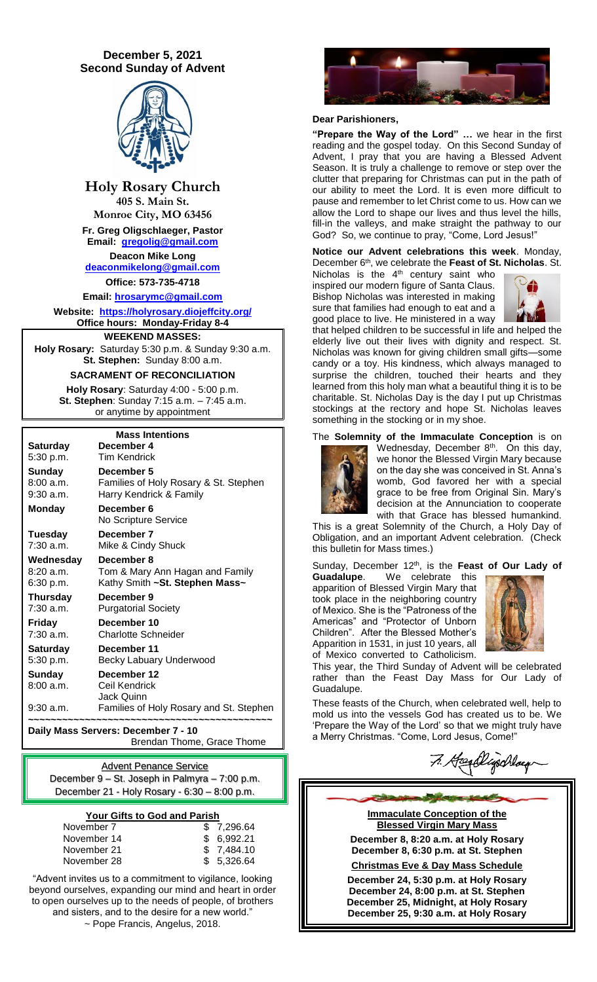# **December 5, 2021 Second Sunday of Advent**



**Holy Rosary Church 405 S. Main St.**

**Monroe City, MO 63456 Fr. Greg Oligschlaeger, Pastor Email: [gregolig@gmail.com](mailto:gregolig@gmail.com)**

**Deacon Mike Long [deaconmikelong@gmail.com](mailto:deaconmikelong@gmail.com)**

**Office: 573-735-4718** 

**Email: [hrosarymc@gmail.com](mailto:hrosarymc@gmail.com) Website: <https://holyrosary.diojeffcity.org/> Office hours: Monday-Friday 8-4**

**WEEKEND MASSES:**

**Holy Rosary:** Saturday 5:30 p.m. & Sunday 9:30 a.m. **St. Stephen:** Sunday 8:00 a.m.

**SACRAMENT OF RECONCILIATION**

**Holy Rosary**: Saturday 4:00 - 5:00 p.m. **St. Stephen**: Sunday 7:15 a.m. – 7:45 a.m. or anytime by appointment

|                 | <b>Mass Intentions</b>                  |  |  |  |  |
|-----------------|-----------------------------------------|--|--|--|--|
| <b>Saturday</b> | December 4                              |  |  |  |  |
| 5:30 p.m.       | Tim Kendrick                            |  |  |  |  |
| Sunday          | December 5                              |  |  |  |  |
| 8:00 a.m.       | Families of Holy Rosary & St. Stephen   |  |  |  |  |
| $9:30$ a.m.     | Harry Kendrick & Family                 |  |  |  |  |
| <b>Monday</b>   | December 6                              |  |  |  |  |
|                 | No Scripture Service                    |  |  |  |  |
| Tuesday         | December 7                              |  |  |  |  |
| $7:30$ a.m.     | Mike & Cindy Shuck                      |  |  |  |  |
| Wednesday       | December 8                              |  |  |  |  |
| 8:20a.m.        | Tom & Mary Ann Hagan and Family         |  |  |  |  |
| 6:30 p.m.       | Kathy Smith ~St. Stephen Mass~          |  |  |  |  |
| Thursday        | December 9                              |  |  |  |  |
| $7:30$ a.m.     | <b>Purgatorial Society</b>              |  |  |  |  |
| Friday          | December 10                             |  |  |  |  |
| 7:30 a.m.       | Charlotte Schneider                     |  |  |  |  |
| <b>Saturday</b> | December 11                             |  |  |  |  |
| 5:30 p.m.       | Becky Labuary Underwood                 |  |  |  |  |
| Sunday          | December 12                             |  |  |  |  |
| 8:00a.m.        | Ceil Kendrick                           |  |  |  |  |
|                 | Jack Quinn                              |  |  |  |  |
| $9:30$ a.m.     | Families of Holy Rosary and St. Stephen |  |  |  |  |

**~~~~~~~~~~~~~~~~~~~~~~~~~~~~~~~~~~~~~~~~~~~ Daily Mass Servers: December 7 - 10** Brendan Thome, Grace Thome

Advent Penance Service December 9 – St. Joseph in Palmyra – 7:00 p.m. December 21 - Holy Rosary - 6:30 – 8:00 p.m.

### **Your Gifts to God and Parish**

| November 7  | \$7,296.64  |
|-------------|-------------|
| November 14 | \$6,992.21  |
| November 21 | \$ 7.484.10 |
| November 28 | \$ 5.326.64 |
|             |             |

"Advent invites us to a commitment to vigilance, looking beyond ourselves, expanding our mind and heart in order to open ourselves up to the needs of people, of brothers and sisters, and to the desire for a new world." ~ Pope Francis, Angelus, 2018.



#### **Dear Parishioners,**

**"Prepare the Way of the Lord" …** we hear in the first reading and the gospel today. On this Second Sunday of Advent, I pray that you are having a Blessed Advent Season. It is truly a challenge to remove or step over the clutter that preparing for Christmas can put in the path of our ability to meet the Lord. It is even more difficult to pause and remember to let Christ come to us. How can we allow the Lord to shape our lives and thus level the hills, fill-in the valleys, and make straight the pathway to our God? So, we continue to pray, "Come, Lord Jesus!"

**Notice our Advent celebrations this week**. Monday, December 6th , we celebrate the **Feast of St. Nicholas**. St.

Nicholas is the 4<sup>th</sup> century saint who inspired our modern figure of Santa Claus. Bishop Nicholas was interested in making sure that families had enough to eat and a good place to live. He ministered in a way



that helped children to be successful in life and helped the elderly live out their lives with dignity and respect. St. Nicholas was known for giving children small gifts—some candy or a toy. His kindness, which always managed to surprise the children, touched their hearts and they learned from this holy man what a beautiful thing it is to be charitable. St. Nicholas Day is the day I put up Christmas stockings at the rectory and hope St. Nicholas leaves something in the stocking or in my shoe.

The **Solemnity of the Immaculate Conception** is on



Wednesday, December 8<sup>th</sup>. On this day, we honor the Blessed Virgin Mary because on the day she was conceived in St. Anna's womb, God favored her with a special grace to be free from Original Sin. Mary's decision at the Annunciation to cooperate with that Grace has blessed humankind.

This is a great Solemnity of the Church, a Holy Day of Obligation, and an important Advent celebration. (Check this bulletin for Mass times.)

Sunday, December 12<sup>th</sup>, is the Feast of Our Lady of

**Guadalupe**. We celebrate this apparition of Blessed Virgin Mary that took place in the neighboring country of Mexico. She is the "Patroness of the Americas" and "Protector of Unborn Children". After the Blessed Mother's Apparition in 1531, in just 10 years, all of Mexico converted to Catholicism.



This year, the Third Sunday of Advent will be celebrated rather than the Feast Day Mass for Our Lady of Guadalupe.

These feasts of the Church, when celebrated well, help to mold us into the vessels God has created us to be. We 'Prepare the Way of the Lord' so that we might truly have a Merry Christmas. "Come, Lord Jesus, Come!"

7. Headlyschlag

**Immaculate Conception of the Blessed Virgin Mary Mass**

**December 8, 8:20 a.m. at Holy Rosary December 8, 6:30 p.m. at St. Stephen**

**Christmas Eve & Day Mass Schedule**

**December 24, 5:30 p.m. at Holy Rosary December 24, 8:00 p.m. at St. Stephen December 25, Midnight, at Holy Rosary December 25, 9:30 a.m. at Holy Rosary**